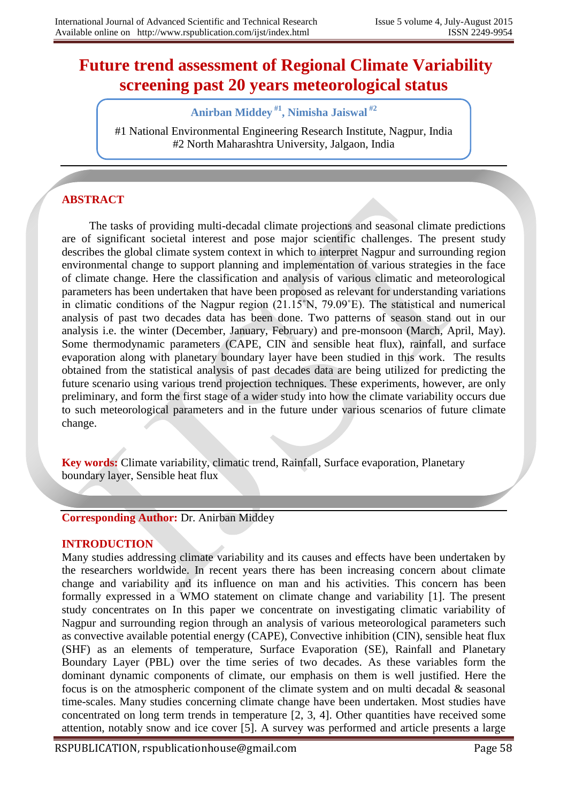# **Future trend assessment of Regional Climate Variability screening past 20 years meteorological status**

**Anirban Middey #1 , Nimisha Jaiswal #2**

#1 National Environmental Engineering Research Institute, Nagpur, India #2 North Maharashtra University, Jalgaon, India

# **ABSTRACT**

The tasks of providing multi-decadal climate projections and seasonal climate predictions are of significant societal interest and pose major scientific challenges. The present study describes the global climate system context in which to interpret Nagpur and surrounding region environmental change to support planning and implementation of various strategies in the face of climate change. Here the classification and analysis of various climatic and meteorological parameters has been undertaken that have been proposed as relevant for understanding variations in climatic conditions of the Nagpur region (21.15˚N, 79.09˚E). The statistical and numerical analysis of past two decades data has been done. Two patterns of season stand out in our analysis i.e. the winter (December, January, February) and pre-monsoon (March, April, May). Some thermodynamic parameters (CAPE, CIN and sensible heat flux), rainfall, and surface evaporation along with planetary boundary layer have been studied in this work. The results obtained from the statistical analysis of past decades data are being utilized for predicting the future scenario using various trend projection techniques. These experiments, however, are only preliminary, and form the first stage of a wider study into how the climate variability occurs due to such meteorological parameters and in the future under various scenarios of future climate change.

**Key words:** Climate variability, climatic trend, Rainfall, Surface evaporation, Planetary boundary layer, Sensible heat flux

#### **Corresponding Author:** Dr. Anirban Middey

#### **INTRODUCTION**

Many studies addressing climate variability and its causes and effects have been undertaken by the researchers worldwide. In recent years there has been increasing concern about climate change and variability and its influence on man and his activities. This concern has been formally expressed in a WMO statement on climate change and variability [1]. The present study concentrates on In this paper we concentrate on investigating climatic variability of Nagpur and surrounding region through an analysis of various meteorological parameters such as convective available potential energy (CAPE), Convective inhibition (CIN), sensible heat flux (SHF) as an elements of temperature, Surface Evaporation (SE), Rainfall and Planetary Boundary Layer (PBL) over the time series of two decades. As these variables form the dominant dynamic components of climate, our emphasis on them is well justified. Here the focus is on the atmospheric component of the climate system and on multi decadal & seasonal time-scales. Many studies concerning climate change have been undertaken. Most studies have concentrated on long term trends in temperature [2, 3, 4]. Other quantities have received some attention, notably snow and ice cover [5]. A survey was performed and article presents a large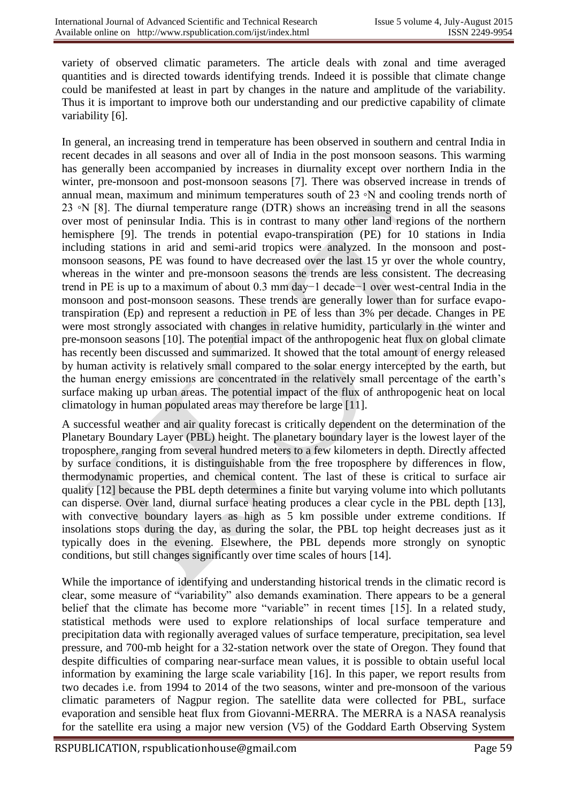variety of observed climatic parameters. The article deals with zonal and time averaged quantities and is directed towards identifying trends. Indeed it is possible that climate change could be manifested at least in part by changes in the nature and amplitude of the variability. Thus it is important to improve both our understanding and our predictive capability of climate variability [6].

In general, an increasing trend in temperature has been observed in southern and central India in recent decades in all seasons and over all of India in the post monsoon seasons. This warming has generally been accompanied by increases in diurnality except over northern India in the winter, pre-monsoon and post-monsoon seasons [7]. There was observed increase in trends of annual mean, maximum and minimum temperatures south of 23 ∘N and cooling trends north of 23 ◦N [8]. The diurnal temperature range (DTR) shows an increasing trend in all the seasons over most of peninsular India. This is in contrast to many other land regions of the northern hemisphere [9]. The trends in potential evapo-transpiration (PE) for 10 stations in India including stations in arid and semi-arid tropics were analyzed. In the monsoon and postmonsoon seasons, PE was found to have decreased over the last 15 yr over the whole country, whereas in the winter and pre-monsoon seasons the trends are less consistent. The decreasing trend in PE is up to a maximum of about 0.3 mm day−1 decade−1 over west-central India in the monsoon and post-monsoon seasons. These trends are generally lower than for surface evapotranspiration (Ep) and represent a reduction in PE of less than 3% per decade. Changes in PE were most strongly associated with changes in relative humidity, particularly in the winter and pre-monsoon seasons [10]. The potential impact of the anthropogenic heat flux on global climate has recently been discussed and summarized. It showed that the total amount of energy released by human activity is relatively small compared to the solar energy intercepted by the earth, but the human energy emissions are concentrated in the relatively small percentage of the earth's surface making up urban areas. The potential impact of the flux of anthropogenic heat on local climatology in human populated areas may therefore be large [11].

A successful weather and air quality forecast is critically dependent on the determination of the Planetary Boundary Layer (PBL) height. The planetary boundary layer is the lowest layer of the troposphere, ranging from several hundred meters to a few kilometers in depth. Directly affected by surface conditions, it is distinguishable from the free troposphere by differences in flow, thermodynamic properties, and chemical content. The last of these is critical to surface air quality [12] because the PBL depth determines a finite but varying volume into which pollutants can disperse. Over land, diurnal surface heating produces a clear cycle in the PBL depth [13], with convective boundary layers as high as 5 km possible under extreme conditions. If insolations stops during the day, as during the solar, the PBL top height decreases just as it typically does in the evening. Elsewhere, the PBL depends more strongly on synoptic conditions, but still changes significantly over time scales of hours [14].

While the importance of identifying and understanding historical trends in the climatic record is clear, some measure of "variability" also demands examination. There appears to be a general belief that the climate has become more "variable" in recent times [15]. In a related study, statistical methods were used to explore relationships of local surface temperature and precipitation data with regionally averaged values of surface temperature, precipitation, sea level pressure, and 700-mb height for a 32-station network over the state of Oregon. They found that despite difficulties of comparing near-surface mean values, it is possible to obtain useful local information by examining the large scale variability [16]. In this paper, we report results from two decades i.e. from 1994 to 2014 of the two seasons, winter and pre-monsoon of the various climatic parameters of Nagpur region. The satellite data were collected for PBL, surface evaporation and sensible heat flux from Giovanni-MERRA. The MERRA is a NASA reanalysis for the satellite era using a major new version (V5) of the Goddard Earth Observing System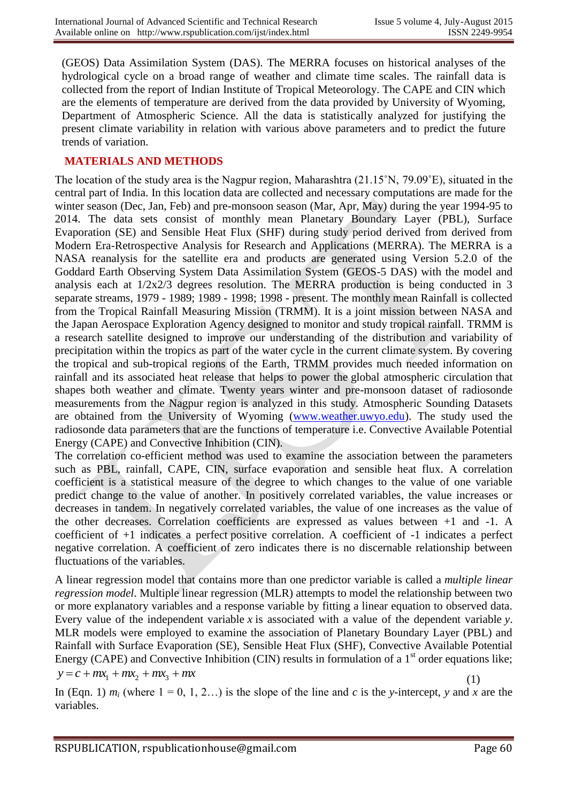(GEOS) Data Assimilation System (DAS). The MERRA focuses on historical analyses of the hydrological cycle on a broad range of weather and climate time scales. The rainfall data is collected from the report of Indian Institute of Tropical Meteorology. The CAPE and CIN which are the elements of temperature are derived from the data provided by University of Wyoming, Department of Atmospheric Science. All the data is statistically analyzed for justifying the present climate variability in relation with various above parameters and to predict the future trends of variation.

### **MATERIALS AND METHODS**

The location of the study area is the Nagpur region, Maharashtra (21.15˚N, 79.09˚E), situated in the central part of India. In this location data are collected and necessary computations are made for the winter season (Dec, Jan, Feb) and pre-monsoon season (Mar, Apr, May) during the year 1994-95 to 2014. The data sets consist of monthly mean Planetary Boundary Layer (PBL), Surface Evaporation (SE) and Sensible Heat Flux (SHF) during study period derived from derived from Modern Era-Retrospective Analysis for Research and Applications (MERRA). The MERRA is a NASA reanalysis for the satellite era and products are generated using Version 5.2.0 of the Goddard Earth Observing System Data Assimilation System (GEOS-5 DAS) with the model and analysis each at  $1/2x^2/3$  degrees resolution. The MERRA production is being conducted in 3 separate streams, 1979 - 1989; 1989 - 1998; 1998 - present. The monthly mean Rainfall is collected from the Tropical Rainfall Measuring Mission (TRMM). It is a joint mission between NASA and the Japan Aerospace Exploration Agency designed to monitor and study tropical rainfall. TRMM is a research satellite designed to improve our understanding of the distribution and variability of precipitation within the tropics as part of the water cycle in the current climate system. By covering the tropical and sub-tropical regions of the Earth, TRMM provides much needed information on rainfall and its associated heat release that helps to power the global atmospheric circulation that shapes both weather and climate. Twenty years winter and pre-monsoon dataset of radiosonde measurements from the Nagpur region is analyzed in this study. Atmospheric Sounding Datasets are obtained from the University of Wyoming [\(www.weather.uwyo.edu\)](http://www.weather.uwyo.edu/). The study used the radiosonde data parameters that are the functions of temperature i.e. Convective Available Potential Energy (CAPE) and Convective Inhibition (CIN).

The correlation co-efficient method was used to examine the association between the parameters such as PBL, rainfall, CAPE, CIN, surface evaporation and sensible heat flux. A correlation coefficient is a statistical measure of the degree to which changes to the value of one variable predict change to the value of another. In positively correlated variables, the value increases or decreases in tandem. In negatively correlated variables, the value of one increases as the value of the other decreases. Correlation coefficients are expressed as values between +1 and -1. A coefficient of +1 indicates a perfect positive correlation. A coefficient of -1 indicates a perfect negative correlation. A coefficient of zero indicates there is no discernable relationship between fluctuations of the variables.

A linear regression model that contains more than one predictor variable is called a *multiple linear regression model*. Multiple linear regression (MLR) attempts to model the relationship between two or more explanatory variables and a response variable by fitting a linear equation to observed data. Every value of the independent variable *x* is associated with a value of the dependent variable *y*. MLR models were employed to examine the association of Planetary Boundary Layer (PBL) and Rainfall with Surface Evaporation (SE), Sensible Heat Flux (SHF), Convective Available Potential Energy (CAPE) and Convective Inhibition (CIN) results in formulation of a  $1<sup>st</sup>$  order equations like;  $y = c + mx_1 + mx_2 + mx_3 + mx$ (1)

In (Eqn. 1)  $m_i$  (where  $1 = 0, 1, 2...$ ) is the slope of the line and *c* is the *y*-intercept, *y* and *x* are the variables.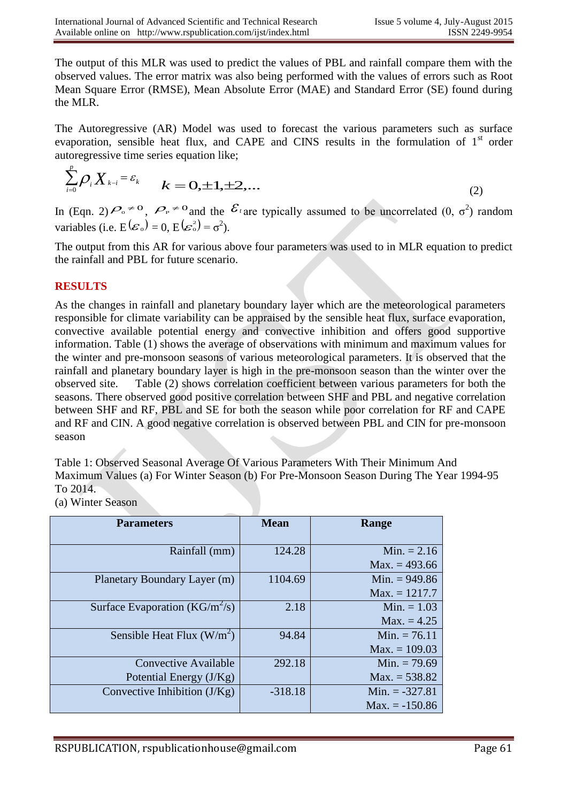The output of this MLR was used to predict the values of PBL and rainfall compare them with the observed values. The error matrix was also being performed with the values of errors such as Root Mean Square Error (RMSE), Mean Absolute Error (MAE) and Standard Error (SE) found during the MLR.

The Autoregressive (AR) Model was used to forecast the various parameters such as surface evaporation, sensible heat flux, and CAPE and CINS results in the formulation of  $1<sup>st</sup>$  order autoregressive time series equation like;

$$
\sum_{i=0}^{p} \rho_i X_{k-i} = \varepsilon_k \qquad k = 0, \pm 1, \pm 2, \dots \tag{2}
$$

In (Eqn. 2)  $\mathcal{P}_{0} \neq 0$ ,  $\mathcal{P}_{P} \neq 0$  and the  $\mathcal{E}_{i}$  are typically assumed to be uncorrelated  $(0, \sigma^{2})$  random variables (i.e.  $E(\mathcal{E}_0) = 0$ ,  $E(\mathcal{E}_0^2) = \sigma^2$ ).

The output from this AR for various above four parameters was used to in MLR equation to predict the rainfall and PBL for future scenario.

## **RESULTS**

As the changes in rainfall and planetary boundary layer which are the meteorological parameters responsible for climate variability can be appraised by the sensible heat flux, surface evaporation, convective available potential energy and convective inhibition and offers good supportive information. Table (1) shows the average of observations with minimum and maximum values for the winter and pre-monsoon seasons of various meteorological parameters. It is observed that the rainfall and planetary boundary layer is high in the pre-monsoon season than the winter over the observed site.Table (2) shows correlation coefficient between various parameters for both the seasons. There observed good positive correlation between SHF and PBL and negative correlation between SHF and RF, PBL and SE for both the season while poor correlation for RF and CAPE and RF and CIN. A good negative correlation is observed between PBL and CIN for pre-monsoon season

Table 1: Observed Seasonal Average Of Various Parameters With Their Minimum And Maximum Values (a) For Winter Season (b) For Pre-Monsoon Season During The Year 1994-95 To 2014.

(a) Winter Season

| <b>Parameters</b>                  | <b>Mean</b> | Range            |
|------------------------------------|-------------|------------------|
|                                    |             |                  |
| Rainfall (mm)                      | 124.28      | Min. $= 2.16$    |
|                                    |             | $Max. = 493.66$  |
| Planetary Boundary Layer (m)       | 1104.69     | Min. $= 949.86$  |
|                                    |             | $Max. = 1217.7$  |
| Surface Evaporation ( $KG/m^2/s$ ) | 2.18        | Min. $= 1.03$    |
|                                    |             | $Max. = 4.25$    |
| Sensible Heat Flux $(W/m^2)$       | 94.84       | Min. $= 76.11$   |
|                                    |             | $Max. = 109.03$  |
| Convective Available               | 292.18      | Min. $= 79.69$   |
| Potential Energy (J/Kg)            |             | $Max. = 538.82$  |
| Convective Inhibition $(J/Kg)$     | $-318.18$   | Min. $= -327.81$ |
|                                    |             | $Max. = -150.86$ |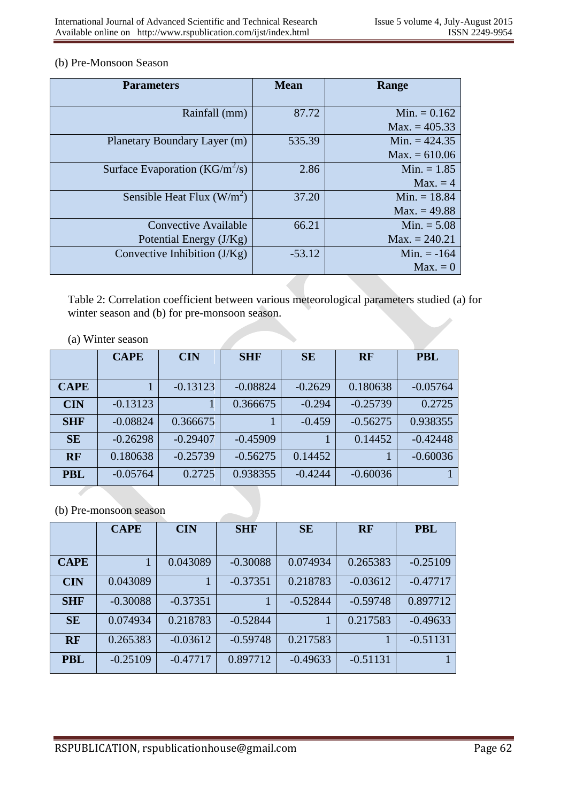#### (b) Pre-Monsoon Season

| <b>Parameters</b>                  | <b>Mean</b> | Range           |  |
|------------------------------------|-------------|-----------------|--|
|                                    |             |                 |  |
| Rainfall (mm)                      | 87.72       | Min. $= 0.162$  |  |
|                                    |             | $Max. = 405.33$ |  |
| Planetary Boundary Layer (m)       | 535.39      | Min. $= 424.35$ |  |
|                                    |             | $Max. = 610.06$ |  |
| Surface Evaporation ( $KG/m^2/s$ ) | 2.86        | Min. $= 1.85$   |  |
|                                    |             | $Max. = 4$      |  |
| Sensible Heat Flux $(W/m^2)$       | 37.20       | Min. $= 18.84$  |  |
|                                    |             | $Max. = 49.88$  |  |
| <b>Convective Available</b>        | 66.21       | Min. $= 5.08$   |  |
| Potential Energy (J/Kg)            |             | $Max. = 240.21$ |  |
| Convective Inhibition $(J/Kg)$     | $-53.12$    | Min. $= -164$   |  |
|                                    |             | $Max. = 0$      |  |

Table 2: Correlation coefficient between various meteorological parameters studied (a) for winter season and (b) for pre-monsoon season.

| (a) Winter season |  |
|-------------------|--|
|-------------------|--|

|             | <b>CAPE</b> | <b>CIN</b> | <b>SHF</b> | <b>SE</b> | <b>RF</b>  | <b>PBL</b> |
|-------------|-------------|------------|------------|-----------|------------|------------|
| <b>CAPE</b> |             | $-0.13123$ | $-0.08824$ | $-0.2629$ | 0.180638   | $-0.05764$ |
| <b>CIN</b>  | $-0.13123$  |            | 0.366675   | $-0.294$  | $-0.25739$ | 0.2725     |
| <b>SHF</b>  | $-0.08824$  | 0.366675   |            | $-0.459$  | $-0.56275$ | 0.938355   |
| <b>SE</b>   | $-0.26298$  | $-0.29407$ | $-0.45909$ |           | 0.14452    | $-0.42448$ |
| <b>RF</b>   | 0.180638    | $-0.25739$ | $-0.56275$ | 0.14452   |            | $-0.60036$ |
| <b>PBL</b>  | $-0.05764$  | 0.2725     | 0.938355   | $-0.4244$ | $-0.60036$ |            |

#### (b) Pre-monsoon season

|             | <b>CAPE</b>  | <b>CIN</b> | <b>SHF</b> | <b>SE</b>  | <b>RF</b>  | <b>PBL</b> |
|-------------|--------------|------------|------------|------------|------------|------------|
| <b>CAPE</b> | $\mathbf{1}$ | 0.043089   | $-0.30088$ | 0.074934   | 0.265383   | $-0.25109$ |
| <b>CIN</b>  | 0.043089     |            | $-0.37351$ | 0.218783   | $-0.03612$ | $-0.47717$ |
| <b>SHF</b>  | $-0.30088$   | $-0.37351$ | 1          | $-0.52844$ | $-0.59748$ | 0.897712   |
| <b>SE</b>   | 0.074934     | 0.218783   | $-0.52844$ |            | 0.217583   | $-0.49633$ |
| <b>RF</b>   | 0.265383     | $-0.03612$ | $-0.59748$ | 0.217583   | 1          | $-0.51131$ |
| <b>PBL</b>  | $-0.25109$   | $-0.47717$ | 0.897712   | $-0.49633$ | $-0.51131$ |            |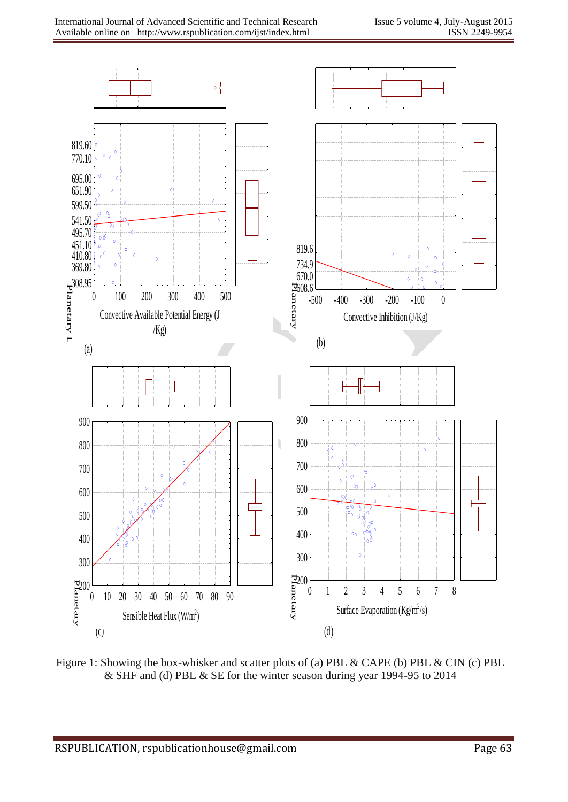

Figure 1: Showing the box-whisker and scatter plots of (a) PBL & CAPE (b) PBL & CIN (c) PBL & SHF and (d) PBL & SE for the winter season during year 1994-95 to 2014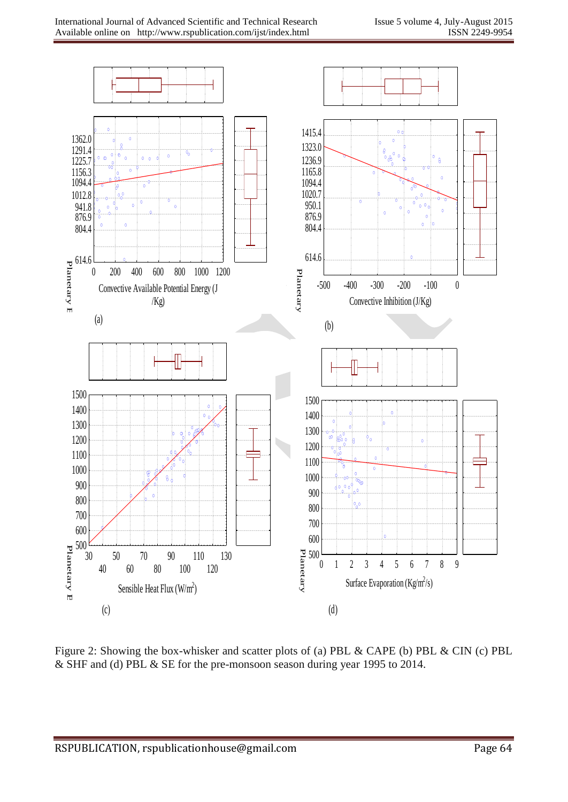

Figure 2: Showing the box-whisker and scatter plots of (a) PBL & CAPE (b) PBL & CIN (c) PBL & SHF and (d) PBL & SE for the pre-monsoon season during year 1995 to 2014.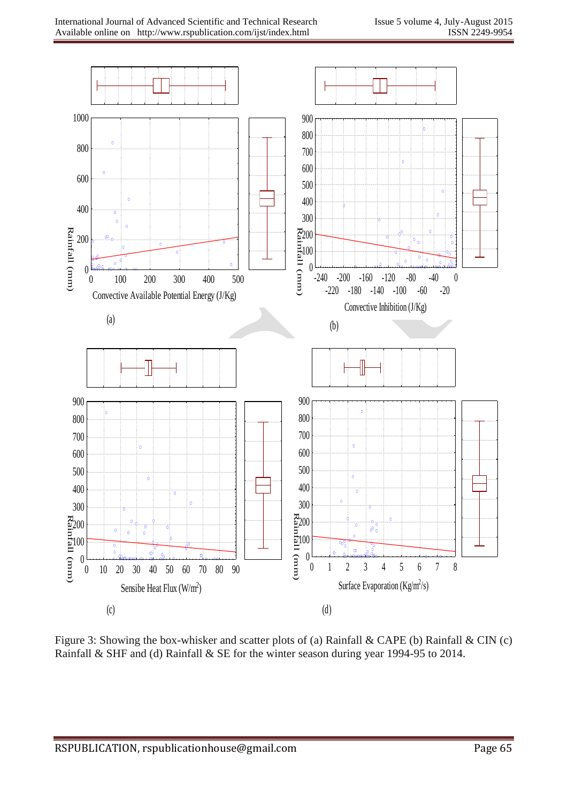

Figure 3: Showing the box-whisker and scatter plots of (a) Rainfall & CAPE (b) Rainfall & CIN (c) Rainfall & SHF and (d) Rainfall & SE for the winter season during year 1994-95 to 2014.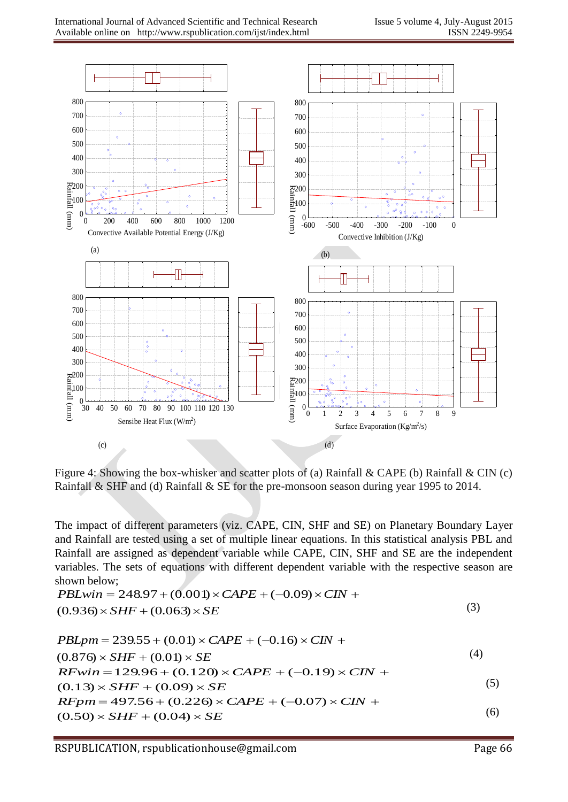

Figure 4: Showing the box-whisker and scatter plots of (a) Rainfall & CAPE (b) Rainfall & CIN (c) Rainfall & SHF and (d) Rainfall & SE for the pre-monsoon season during year 1995 to 2014.

The impact of different parameters (viz. CAPE, CIN, SHF and SE) on Planetary Boundary Layer and Rainfall are tested using a set of multiple linear equations. In this statistical analysis PBL and Rainfall are assigned as dependent variable while CAPE, CIN, SHF and SE are the independent variables. The sets of equations with different dependent variable with the respective season are shown below;

$$
PBLwin = 248.97 + (0.001) \times CAPE + (-0.09) \times CIN +
$$
  
(0.936) × SHF + (0.063) × SE (3)

$$
PBLpm = 239.55 + (0.01) \times CAPE + (-0.16) \times CIN +
$$
  
(0.876) × SHF + (0.01) × SE  
RFwin = 129.96 + (0.120) × CAPE + (-0.19) × CIN +  
(0.13) × SHF + (0.09) × SE  
RFpm = 497.56 + (0.226) × CAPE + (-0.07) × CIN +  
(0.50) × SHF + (0.04) × SE (6)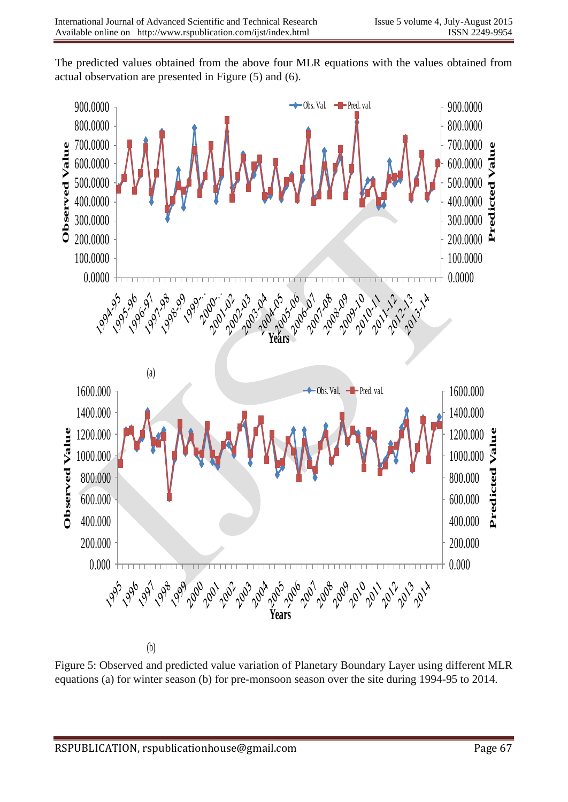The predicted values obtained from the above four MLR equations with the values obtained from actual observation are presented in Figure (5) and (6).



(b)

Figure 5: Observed and predicted value variation of Planetary Boundary Layer using different MLR equations (a) for winter season (b) for pre-monsoon season over the site during 1994-95 to 2014.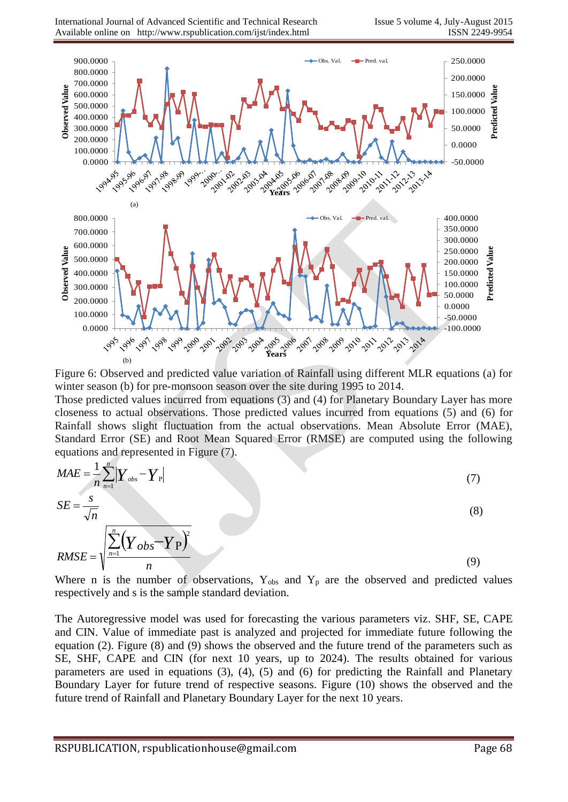

Figure 6: Observed and predicted value variation of Rainfall using different MLR equations (a) for winter season (b) for pre-monsoon season over the site during 1995 to 2014.

Those predicted values incurred from equations (3) and (4) for Planetary Boundary Layer has more closeness to actual observations. Those predicted values incurred from equations (5) and (6) for Rainfall shows slight fluctuation from the actual observations. Mean Absolute Error (MAE), Standard Error (SE) and Root Mean Squared Error (RMSE) are computed using the following equations and represented in Figure (7).

$$
MAE = \frac{1}{n} \sum_{n=1}^{n} \left| Y_{obs} - Y_{\rm P} \right|
$$
  
\n
$$
SE = \frac{s}{\sqrt{n}}
$$
  
\n
$$
RMSE = \sqrt{\frac{\sum_{n=1}^{n} \left( Y_{obs} - Y_{\rm P} \right)^2}{n}}
$$
\n(8)

Where n is the number of observations,  $Y_{obs}$  and  $Y_p$  are the observed and predicted values respectively and s is the sample standard deviation.

The Autoregressive model was used for forecasting the various parameters viz. SHF, SE, CAPE and CIN. Value of immediate past is analyzed and projected for immediate future following the equation (2). Figure (8) and (9) shows the observed and the future trend of the parameters such as SE, SHF, CAPE and CIN (for next 10 years, up to 2024). The results obtained for various parameters are used in equations (3), (4), (5) and (6) for predicting the Rainfall and Planetary Boundary Layer for future trend of respective seasons. Figure (10) shows the observed and the future trend of Rainfall and Planetary Boundary Layer for the next 10 years.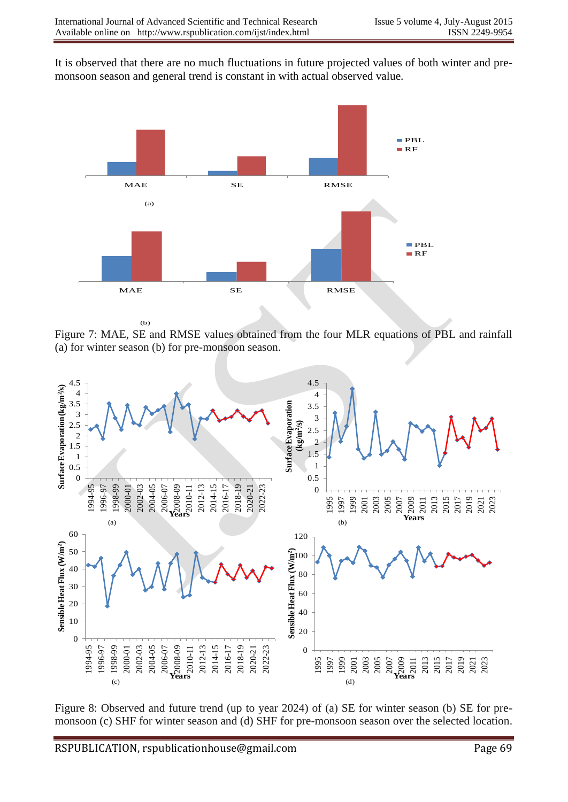It is observed that there are no much fluctuations in future projected values of both winter and premonsoon season and general trend is constant in with actual observed value.



Figure 7: MAE, SE and RMSE values obtained from the four MLR equations of PBL and rainfall (a) for winter season (b) for pre-monsoon season.



Figure 8: Observed and future trend (up to year 2024) of (a) SE for winter season (b) SE for premonsoon (c) SHF for winter season and (d) SHF for pre-monsoon season over the selected location.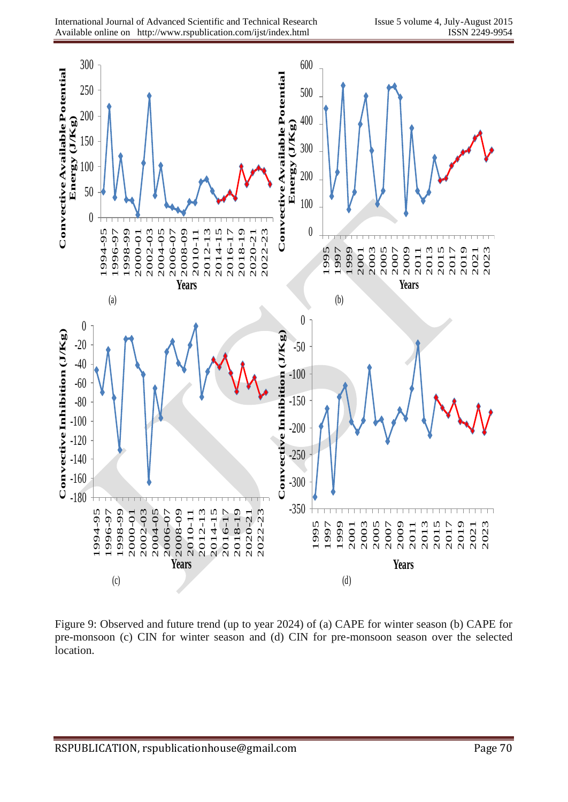

Figure 9: Observed and future trend (up to year 2024) of (a) CAPE for winter season (b) CAPE for pre-monsoon (c) CIN for winter season and (d) CIN for pre-monsoon season over the selected location.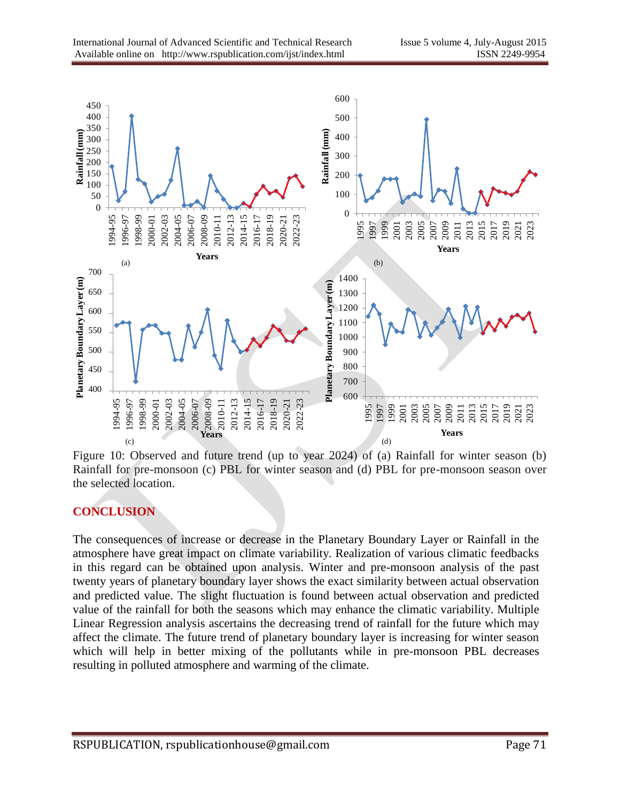

Figure 10: Observed and future trend (up to year 2024) of (a) Rainfall for winter season (b) Rainfall for pre-monsoon (c) PBL for winter season and (d) PBL for pre-monsoon season over the selected location.

## **CONCLUSION**

The consequences of increase or decrease in the Planetary Boundary Layer or Rainfall in the atmosphere have great impact on climate variability. Realization of various climatic feedbacks in this regard can be obtained upon analysis. Winter and pre-monsoon analysis of the past twenty years of planetary boundary layer shows the exact similarity between actual observation and predicted value. The slight fluctuation is found between actual observation and predicted value of the rainfall for both the seasons which may enhance the climatic variability. Multiple Linear Regression analysis ascertains the decreasing trend of rainfall for the future which may affect the climate. The future trend of planetary boundary layer is increasing for winter season which will help in better mixing of the pollutants while in pre-monsoon PBL decreases resulting in polluted atmosphere and warming of the climate.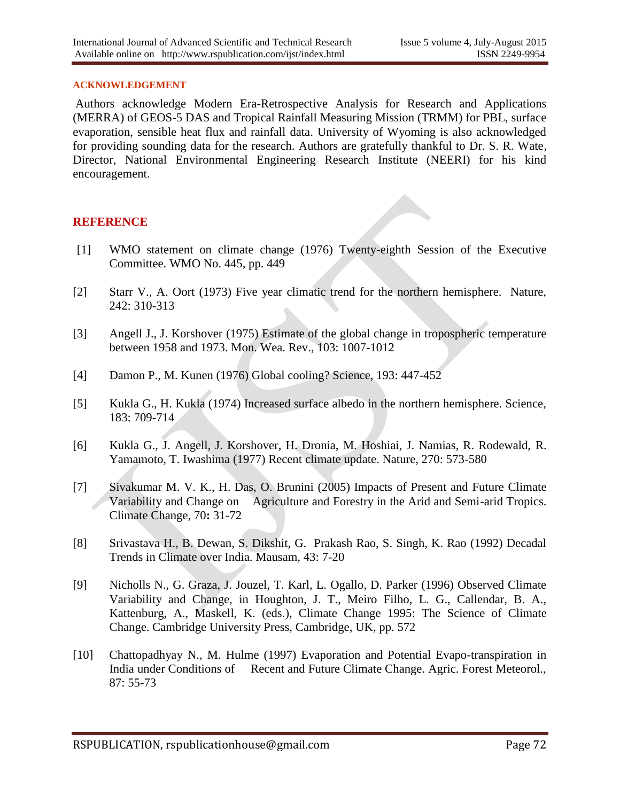#### **ACKNOWLEDGEMENT**

Authors acknowledge Modern Era-Retrospective Analysis for Research and Applications (MERRA) of GEOS-5 DAS and Tropical Rainfall Measuring Mission (TRMM) for PBL, surface evaporation, sensible heat flux and rainfall data. University of Wyoming is also acknowledged for providing sounding data for the research. Authors are gratefully thankful to Dr. S. R. Wate, Director, National Environmental Engineering Research Institute (NEERI) for his kind encouragement.

#### **REFERENCE**

- [1] WMO statement on climate change (1976) Twenty-eighth Session of the Executive Committee. WMO No. 445, pp. 449
- [2] Starr V., A. Oort (1973) Five year climatic trend for the northern hemisphere. Nature, 242: 310-313
- [3] Angell J., J. Korshover (1975) Estimate of the global change in tropospheric temperature between 1958 and 1973. Mon. Wea. Rev., 103: 1007-1012
- [4] Damon P., M. Kunen (1976) Global cooling? Science, 193: 447-452
- [5] Kukla G., H. Kukla (1974) Increased surface albedo in the northern hemisphere. Science, 183: 709-714
- [6] Kukla G., J. Angell, J. Korshover, H. Dronia, M. Hoshiai, J. Namias, R. Rodewald, R. Yamamoto, T. Iwashima (1977) Recent climate update. Nature, 270: 573-580
- [7] Sivakumar M. V. K., H. Das, O. Brunini (2005) Impacts of Present and Future Climate Variability and Change on Agriculture and Forestry in the Arid and Semi-arid Tropics. Climate Change, 70**:** 31-72
- [8] Srivastava H., B. Dewan, S. Dikshit, G. Prakash Rao, S. Singh, K. Rao (1992) Decadal Trends in Climate over India. Mausam, 43: 7-20
- [9] Nicholls N., G. Graza, J. Jouzel, T. Karl, L. Ogallo, D. Parker (1996) Observed Climate Variability and Change, in Houghton, J. T., Meiro Filho, L. G., Callendar, B. A., Kattenburg, A., Maskell, K. (eds.), Climate Change 1995: The Science of Climate Change. Cambridge University Press, Cambridge, UK, pp. 572
- [10] Chattopadhyay N., M. Hulme (1997) Evaporation and Potential Evapo-transpiration in India under Conditions of Recent and Future Climate Change. Agric. Forest Meteorol., 87: 55-73